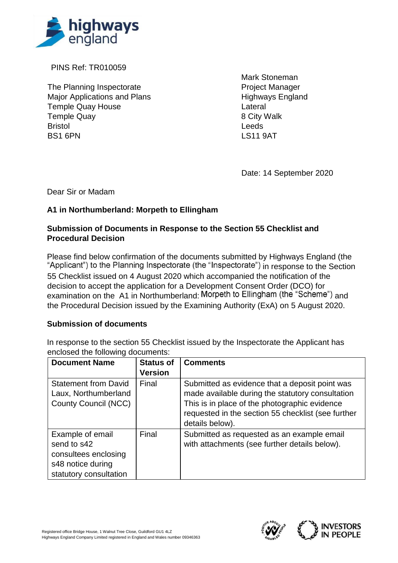

PINS Ref: TR010059

The Planning Inspectorate **Project Manager** Project Manager Major Applications and Plans Highways England Temple Quay House **Lateral** Temple Quay **8 City Walk** Bristol Leeds BS1 6PN LS11 9AT

Mark Stoneman

Date: 14 September 2020

Dear Sir or Madam

## **A1 in Northumberland: Morpeth to Ellingham**

## **Submission of Documents in Response to the Section 55 Checklist and Procedural Decision**

Please find below confirmation of the documents submitted by Highways England (the "Applicant") to the Planning Inspectorate (the "Inspectorate") in response to the Section 55 Checklist issued on 4 August 2020 which accompanied the notification of the decision to accept the application for a Development Consent Order (DCO) for examination on the A1 in Northumberland: Morpeth to Ellingham (the "Scheme") and

the Procedural Decision issued by the Examining Authority (ExA) on 5 August 2020.

## **Submission of documents**

In response to the section 55 Checklist issued by the Inspectorate the Applicant has enclosed the following documents:

| <b>Document Name</b>                                                                                   | <b>Status of</b><br><b>Version</b> | <b>Comments</b>                                                                                                                                                                                                              |
|--------------------------------------------------------------------------------------------------------|------------------------------------|------------------------------------------------------------------------------------------------------------------------------------------------------------------------------------------------------------------------------|
| <b>Statement from David</b><br>Laux, Northumberland<br><b>County Council (NCC)</b>                     | Final                              | Submitted as evidence that a deposit point was<br>made available during the statutory consultation<br>This is in place of the photographic evidence<br>requested in the section 55 checklist (see further<br>details below). |
| Example of email<br>send to s42<br>consultees enclosing<br>s48 notice during<br>statutory consultation | Final                              | Submitted as requested as an example email<br>with attachments (see further details below).                                                                                                                                  |

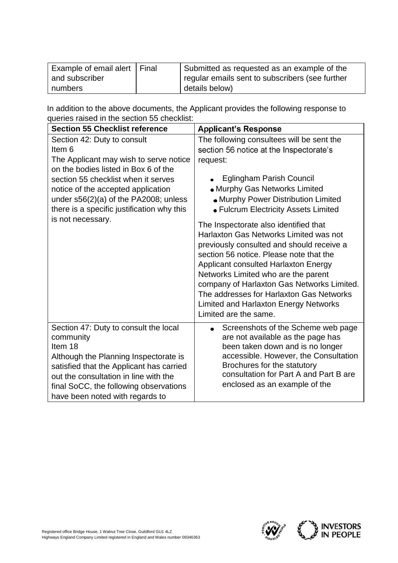| Example of email alert   Final | Submitted as requested as an example of the     |
|--------------------------------|-------------------------------------------------|
| and subscriber                 | regular emails sent to subscribers (see further |
| numbers                        | details below)                                  |

In addition to the above documents, the Applicant provides the following response to queries raised in the section 55 checklist:

| <b>Section 55 Checklist reference</b>                                                                                                                                                                                                                                                                              | <b>Applicant's Response</b>                                                                                                                                                                                                                                                                                                                                                                                                                                                                                                                                                                                                                                               |
|--------------------------------------------------------------------------------------------------------------------------------------------------------------------------------------------------------------------------------------------------------------------------------------------------------------------|---------------------------------------------------------------------------------------------------------------------------------------------------------------------------------------------------------------------------------------------------------------------------------------------------------------------------------------------------------------------------------------------------------------------------------------------------------------------------------------------------------------------------------------------------------------------------------------------------------------------------------------------------------------------------|
| Section 42: Duty to consult<br>Item 6<br>The Applicant may wish to serve notice<br>on the bodies listed in Box 6 of the<br>section 55 checklist when it serves<br>notice of the accepted application<br>under $s56(2)(a)$ of the PA2008; unless<br>there is a specific justification why this<br>is not necessary. | The following consultees will be sent the<br>section 56 notice at the Inspectorate's<br>request:<br>Eglingham Parish Council<br>• Murphy Gas Networks Limited<br>• Murphy Power Distribution Limited<br>• Fulcrum Electricity Assets Limited<br>The Inspectorate also identified that<br>Harlaxton Gas Networks Limited was not<br>previously consulted and should receive a<br>section 56 notice. Please note that the<br>Applicant consulted Harlaxton Energy<br>Networks Limited who are the parent<br>company of Harlaxton Gas Networks Limited.<br>The addresses for Harlaxton Gas Networks<br><b>Limited and Harlaxton Energy Networks</b><br>Limited are the same. |
| Section 47: Duty to consult the local<br>community<br>Item 18<br>Although the Planning Inspectorate is<br>satisfied that the Applicant has carried<br>out the consultation in line with the<br>final SoCC, the following observations<br>have been noted with regards to                                           | Screenshots of the Scheme web page<br>are not available as the page has<br>been taken down and is no longer<br>accessible. However, the Consultation<br>Brochures for the statutory<br>consultation for Part A and Part B are<br>enclosed as an example of the                                                                                                                                                                                                                                                                                                                                                                                                            |

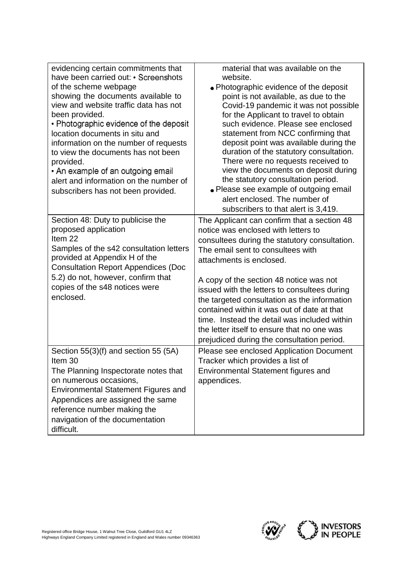| evidencing certain commitments that<br>have been carried out: • Screenshots<br>of the scheme webpage<br>showing the documents available to<br>view and website traffic data has not<br>been provided.<br>• Photographic evidence of the deposit<br>location documents in situ and<br>information on the number of requests<br>to view the documents has not been<br>provided.<br>• An example of an outgoing email<br>alert and information on the number of<br>subscribers has not been provided. | material that was available on the<br>website.<br>• Photographic evidence of the deposit<br>point is not available, as due to the<br>Covid-19 pandemic it was not possible<br>for the Applicant to travel to obtain<br>such evidence. Please see enclosed<br>statement from NCC confirming that<br>deposit point was available during the<br>duration of the statutory consultation.<br>There were no requests received to<br>view the documents on deposit during<br>the statutory consultation period.<br>• Please see example of outgoing email<br>alert enclosed. The number of<br>subscribers to that alert is 3,419. |
|----------------------------------------------------------------------------------------------------------------------------------------------------------------------------------------------------------------------------------------------------------------------------------------------------------------------------------------------------------------------------------------------------------------------------------------------------------------------------------------------------|----------------------------------------------------------------------------------------------------------------------------------------------------------------------------------------------------------------------------------------------------------------------------------------------------------------------------------------------------------------------------------------------------------------------------------------------------------------------------------------------------------------------------------------------------------------------------------------------------------------------------|
| Section 48: Duty to publicise the<br>proposed application<br>Item <sub>22</sub><br>Samples of the s42 consultation letters<br>provided at Appendix H of the<br><b>Consultation Report Appendices (Doc</b><br>5.2) do not, however, confirm that<br>copies of the s48 notices were<br>enclosed.                                                                                                                                                                                                     | The Applicant can confirm that a section 48<br>notice was enclosed with letters to<br>consultees during the statutory consultation.<br>The email sent to consultees with<br>attachments is enclosed.<br>A copy of the section 48 notice was not<br>issued with the letters to consultees during<br>the targeted consultation as the information<br>contained within it was out of date at that<br>time. Instead the detail was included within<br>the letter itself to ensure that no one was<br>prejudiced during the consultation period.                                                                                |
| Section $55(3)(f)$ and section 55 (5A)<br>Item 30<br>The Planning Inspectorate notes that<br>on numerous occasions,<br>Environmental Statement Figures and<br>Appendices are assigned the same<br>reference number making the<br>navigation of the documentation<br>difficult.                                                                                                                                                                                                                     | Please see enclosed Application Document<br>Tracker which provides a list of<br>Environmental Statement figures and<br>appendices.                                                                                                                                                                                                                                                                                                                                                                                                                                                                                         |

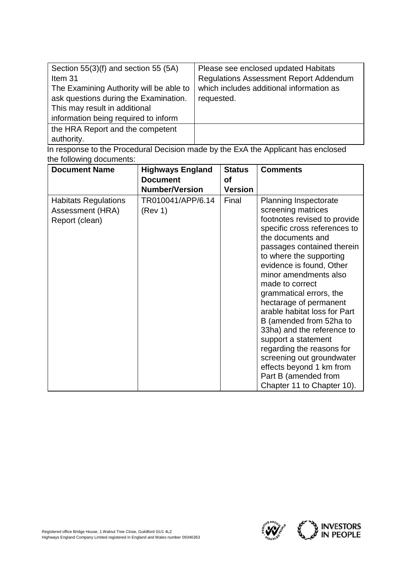| Section $55(3)(f)$ and section 55 (5A)  | Please see enclosed updated Habitats                                                                                                         |
|-----------------------------------------|----------------------------------------------------------------------------------------------------------------------------------------------|
| Item 31                                 | <b>Regulations Assessment Report Addendum</b>                                                                                                |
| The Examining Authority will be able to | which includes additional information as                                                                                                     |
| ask questions during the Examination.   | requested.                                                                                                                                   |
| This may result in additional           |                                                                                                                                              |
| information being required to inform    |                                                                                                                                              |
| the HRA Report and the competent        |                                                                                                                                              |
| authority.                              |                                                                                                                                              |
|                                         | $\sim$ . The second component of $\blacksquare$ . The second control of $\blacksquare$ . And the Applitude function of the second control of |

In response to the Procedural Decision made by the ExA the Applicant has enclosed the following documents:

| <b>Document Name</b>                                              | <b>Highways England</b><br><b>Document</b><br><b>Number/Version</b> | <b>Status</b><br>Οf<br><b>Version</b> | <b>Comments</b>                                                                                                                                                                                                                                                                                                                                                                                                                                                                                                                                                                           |
|-------------------------------------------------------------------|---------------------------------------------------------------------|---------------------------------------|-------------------------------------------------------------------------------------------------------------------------------------------------------------------------------------------------------------------------------------------------------------------------------------------------------------------------------------------------------------------------------------------------------------------------------------------------------------------------------------------------------------------------------------------------------------------------------------------|
| <b>Habitats Regulations</b><br>Assessment (HRA)<br>Report (clean) | TR010041/APP/6.14<br>(Rev 1)                                        | Final                                 | <b>Planning Inspectorate</b><br>screening matrices<br>footnotes revised to provide<br>specific cross references to<br>the documents and<br>passages contained therein<br>to where the supporting<br>evidence is found, Other<br>minor amendments also<br>made to correct<br>grammatical errors, the<br>hectarage of permanent<br>arable habitat loss for Part<br>B (amended from 52ha to<br>33ha) and the reference to<br>support a statement<br>regarding the reasons for<br>screening out groundwater<br>effects beyond 1 km from<br>Part B (amended from<br>Chapter 11 to Chapter 10). |

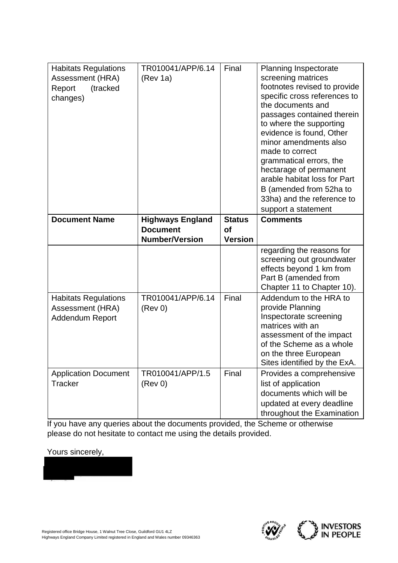| <b>Habitats Regulations</b><br>Assessment (HRA)<br>(tracked<br>Report<br>changes) | TR010041/APP/6.14<br>(Rev 1a)              | Final                      | <b>Planning Inspectorate</b><br>screening matrices<br>footnotes revised to provide<br>specific cross references to<br>the documents and<br>passages contained therein<br>to where the supporting<br>evidence is found, Other<br>minor amendments also<br>made to correct<br>grammatical errors, the<br>hectarage of permanent<br>arable habitat loss for Part<br>B (amended from 52ha to<br>33ha) and the reference to<br>support a statement |
|-----------------------------------------------------------------------------------|--------------------------------------------|----------------------------|-----------------------------------------------------------------------------------------------------------------------------------------------------------------------------------------------------------------------------------------------------------------------------------------------------------------------------------------------------------------------------------------------------------------------------------------------|
| <b>Document Name</b>                                                              | <b>Highways England</b><br><b>Document</b> | <b>Status</b><br><b>of</b> | <b>Comments</b>                                                                                                                                                                                                                                                                                                                                                                                                                               |
|                                                                                   | <b>Number/Version</b>                      | <b>Version</b>             |                                                                                                                                                                                                                                                                                                                                                                                                                                               |
|                                                                                   |                                            |                            | regarding the reasons for<br>screening out groundwater<br>effects beyond 1 km from<br>Part B (amended from<br>Chapter 11 to Chapter 10).                                                                                                                                                                                                                                                                                                      |
| <b>Habitats Regulations</b><br>Assessment (HRA)<br>Addendum Report                | TR010041/APP/6.14<br>(Rev 0)               | Final                      | Addendum to the HRA to<br>provide Planning<br>Inspectorate screening<br>matrices with an<br>assessment of the impact<br>of the Scheme as a whole<br>on the three European<br>Sites identified by the ExA.                                                                                                                                                                                                                                     |
| <b>Application Document</b><br><b>Tracker</b>                                     | TR010041/APP/1.5<br>(Rev 0)                | Final                      | Provides a comprehensive<br>list of application<br>documents which will be<br>updated at every deadline<br>throughout the Examination                                                                                                                                                                                                                                                                                                         |

If you have any queries about the documents provided, the Scheme or otherwise please do not hesitate to contact me using the details provided.

Yours sincerely,